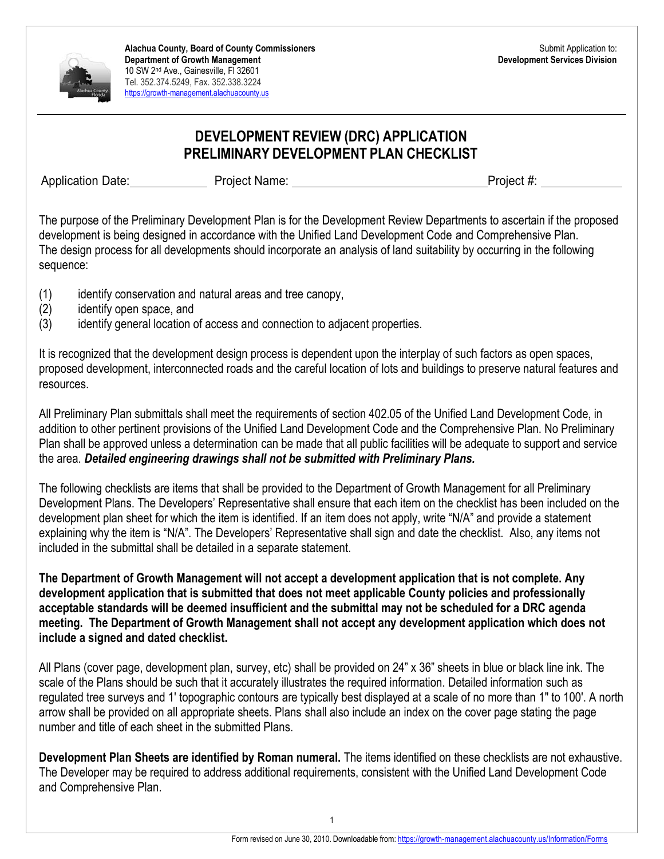

## **DEVELOPMENT REVIEW (DRC) APPLICATION PRELIMINARY DEVELOPMENT PLAN CHECKLIST**

Application Date: Project Name: 2008 Manne: Project #: Project #: 2008

The purpose of the Preliminary Development Plan is for the Development Review Departments to ascertain if the proposed development is being designed in accordance with the Unified Land Development Code and Comprehensive Plan. The design process for all developments should incorporate an analysis of land suitability by occurring in the following sequence:

- (1) identify conservation and natural areas and tree canopy,
- (2) identify open space, and
- (3) identify general location of access and connection to adjacent properties.

It is recognized that the development design process is dependent upon the interplay of such factors as open spaces, proposed development, interconnected roads and the careful location of lots and buildings to preserve natural features and resources.

All Preliminary Plan submittals shall meet the requirements of section 402.05 of the Unified Land Development Code, in addition to other pertinent provisions of the Unified Land Development Code and the Comprehensive Plan. No Preliminary Plan shall be approved unless a determination can be made that all public facilities will be adequate to support and service the area. *Detailed engineering drawings shall not be submitted with Preliminary Plans.*

The following checklists are items that shall be provided to the Department of Growth Management for all Preliminary Development Plans. The Developers' Representative shall ensure that each item on the checklist has been included on the development plan sheet for which the item is identified. If an item does not apply, write "N/A" and provide a statement explaining why the item is "N/A". The Developers' Representative shall sign and date the checklist. Also, any items not included in the submittal shall be detailed in a separate statement.

**The Department of Growth Management will not accept a development application that is not complete. Any development application that is submitted that does not meet applicable County policies and professionally acceptable standards will be deemed insufficient and the submittal may not be scheduled for a DRC agenda meeting. The Department of Growth Management shall not accept any development application which does not include a signed and dated checklist.**

All Plans (cover page, development plan, survey, etc) shall be provided on 24" x 36" sheets in blue or black line ink. The scale of the Plans should be such that it accurately illustrates the required information. Detailed information such as regulated tree surveys and 1' topographic contours are typically best displayed at a scale of no more than 1" to 100'. A north arrow shall be provided on all appropriate sheets. Plans shall also include an index on the cover page stating the page number and title of each sheet in the submitted Plans.

**Development Plan Sheets are identified by Roman numeral.** The items identified on these checklists are not exhaustive. The Developer may be required to address additional requirements, consistent with the Unified Land Development Code and Comprehensive Plan.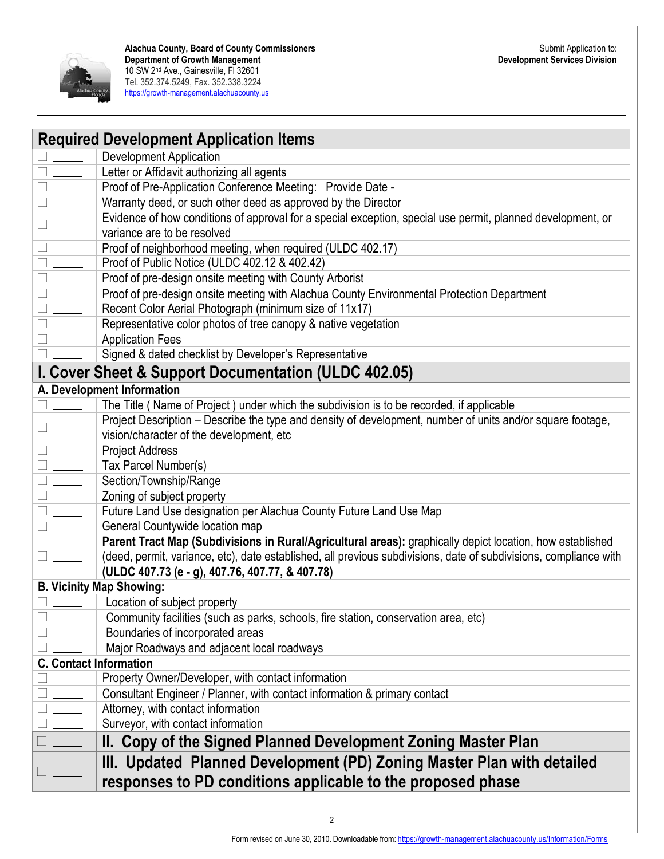

|                                                                                                                                                                                                                                                                                                         | <b>Required Development Application Items</b>                                                                                |
|---------------------------------------------------------------------------------------------------------------------------------------------------------------------------------------------------------------------------------------------------------------------------------------------------------|------------------------------------------------------------------------------------------------------------------------------|
| $\frac{1}{\sqrt{1-\frac{1}{2}}\left( \frac{1}{\sqrt{1-\frac{1}{2}}}\right) }$                                                                                                                                                                                                                           | <b>Development Application</b>                                                                                               |
| $\square$ , and the set of $\square$<br>$\frac{1}{2}$ . The $\frac{1}{2}$                                                                                                                                                                                                                               | Letter or Affidavit authorizing all agents                                                                                   |
|                                                                                                                                                                                                                                                                                                         | Proof of Pre-Application Conference Meeting: Provide Date -<br>Warranty deed, or such other deed as approved by the Director |
| $\Box$                                                                                                                                                                                                                                                                                                  | Evidence of how conditions of approval for a special exception, special use permit, planned development, or                  |
|                                                                                                                                                                                                                                                                                                         | variance are to be resolved                                                                                                  |
| $\begin{tabular}{ c c } \hline \quad \quad & \quad \quad & \quad \quad \\ \hline \quad \quad & \quad \quad & \quad \quad \\ \hline \quad \quad & \quad \quad & \quad \quad \\ \hline \quad \quad & \quad \quad & \quad \quad \\ \hline \quad \quad & \quad \quad & \quad \quad \\ \hline \end{tabular}$ | Proof of neighborhood meeting, when required (ULDC 402.17)                                                                   |
|                                                                                                                                                                                                                                                                                                         | Proof of Public Notice (ULDC 402.12 & 402.42)                                                                                |
|                                                                                                                                                                                                                                                                                                         | Proof of pre-design onsite meeting with County Arborist                                                                      |
|                                                                                                                                                                                                                                                                                                         | Proof of pre-design onsite meeting with Alachua County Environmental Protection Department                                   |
| $\begin{tabular}{ c c } \hline \quad \quad & \quad \quad & \quad \quad \\ \hline \quad \quad & \quad \quad & \quad \quad \\ \hline \quad \quad & \quad \quad & \quad \quad \\ \hline \end{tabular}$                                                                                                     | Recent Color Aerial Photograph (minimum size of 11x17)                                                                       |
| $\square$                                                                                                                                                                                                                                                                                               | Representative color photos of tree canopy & native vegetation                                                               |
| $\frac{1}{\sqrt{1-\frac{1}{2}}\left(1-\frac{1}{2}\right)}\left(1-\frac{1}{2}\right)$                                                                                                                                                                                                                    | <b>Application Fees</b>                                                                                                      |
|                                                                                                                                                                                                                                                                                                         | Signed & dated checklist by Developer's Representative                                                                       |
|                                                                                                                                                                                                                                                                                                         | I. Cover Sheet & Support Documentation (ULDC 402.05)                                                                         |
|                                                                                                                                                                                                                                                                                                         | A. Development Information                                                                                                   |
|                                                                                                                                                                                                                                                                                                         | The Title (Name of Project) under which the subdivision is to be recorded, if applicable                                     |
|                                                                                                                                                                                                                                                                                                         | Project Description – Describe the type and density of development, number of units and/or square footage,                   |
|                                                                                                                                                                                                                                                                                                         | vision/character of the development, etc                                                                                     |
| $\Box \hspace{0.1cm} \underline{\hspace{0.1cm}}$                                                                                                                                                                                                                                                        | <b>Project Address</b>                                                                                                       |
|                                                                                                                                                                                                                                                                                                         | Tax Parcel Number(s)                                                                                                         |
| $\Box$                                                                                                                                                                                                                                                                                                  | Section/Township/Range                                                                                                       |
| $\begin{tabular}{ c c } \hline \quad \quad & \quad \quad & \quad \quad \\ \hline \quad \quad & \quad \quad & \quad \quad \\ \hline \quad \quad & \quad \quad & \quad \quad \\ \hline \end{tabular}$                                                                                                     | Zoning of subject property                                                                                                   |
|                                                                                                                                                                                                                                                                                                         | Future Land Use designation per Alachua County Future Land Use Map                                                           |
|                                                                                                                                                                                                                                                                                                         | General Countywide location map                                                                                              |
|                                                                                                                                                                                                                                                                                                         | Parent Tract Map (Subdivisions in Rural/Agricultural areas): graphically depict location, how established                    |
|                                                                                                                                                                                                                                                                                                         | (deed, permit, variance, etc), date established, all previous subdivisions, date of subdivisions, compliance with            |
|                                                                                                                                                                                                                                                                                                         | (ULDC 407.73 (e - g), 407.76, 407.77, & 407.78)                                                                              |
|                                                                                                                                                                                                                                                                                                         | <b>B. Vicinity Map Showing:</b>                                                                                              |
|                                                                                                                                                                                                                                                                                                         | Location of subject property                                                                                                 |
|                                                                                                                                                                                                                                                                                                         | Community facilities (such as parks, schools, fire station, conservation area, etc)                                          |
|                                                                                                                                                                                                                                                                                                         | Boundaries of incorporated areas<br>Major Roadways and adjacent local roadways                                               |
| <b>C. Contact Information</b>                                                                                                                                                                                                                                                                           |                                                                                                                              |
|                                                                                                                                                                                                                                                                                                         | Property Owner/Developer, with contact information                                                                           |
|                                                                                                                                                                                                                                                                                                         | Consultant Engineer / Planner, with contact information & primary contact                                                    |
|                                                                                                                                                                                                                                                                                                         |                                                                                                                              |
|                                                                                                                                                                                                                                                                                                         | Attorney, with contact information<br>Surveyor, with contact information                                                     |
|                                                                                                                                                                                                                                                                                                         |                                                                                                                              |
|                                                                                                                                                                                                                                                                                                         | II. Copy of the Signed Planned Development Zoning Master Plan                                                                |
|                                                                                                                                                                                                                                                                                                         | III. Updated Planned Development (PD) Zoning Master Plan with detailed                                                       |
|                                                                                                                                                                                                                                                                                                         | responses to PD conditions applicable to the proposed phase                                                                  |
|                                                                                                                                                                                                                                                                                                         |                                                                                                                              |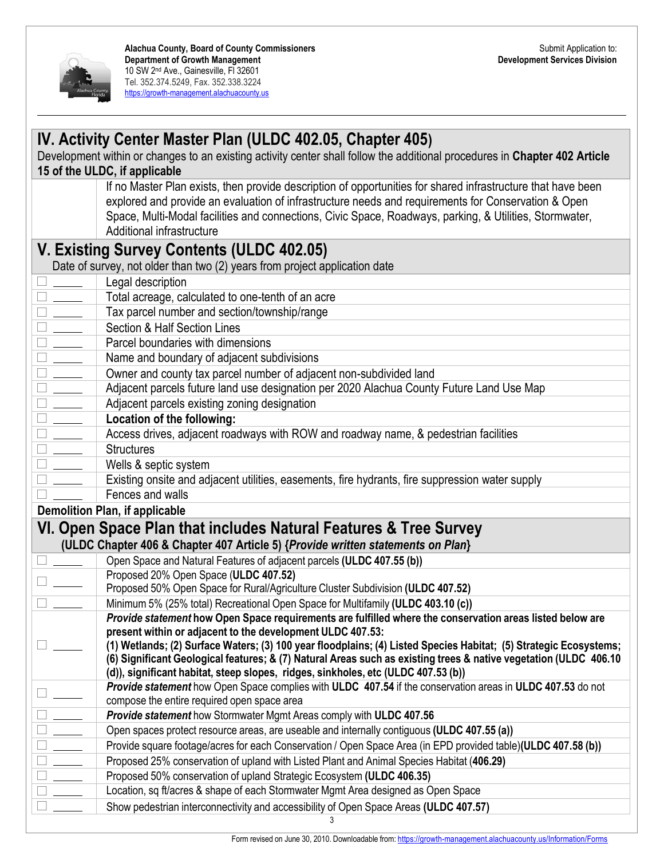

| IV. Activity Center Master Plan (ULDC 402.05, Chapter 405)                                                                                                                                          |                                                                                                                                                                                                                                       |  |
|-----------------------------------------------------------------------------------------------------------------------------------------------------------------------------------------------------|---------------------------------------------------------------------------------------------------------------------------------------------------------------------------------------------------------------------------------------|--|
|                                                                                                                                                                                                     | Development within or changes to an existing activity center shall follow the additional procedures in Chapter 402 Article                                                                                                            |  |
|                                                                                                                                                                                                     | 15 of the ULDC, if applicable                                                                                                                                                                                                         |  |
|                                                                                                                                                                                                     | If no Master Plan exists, then provide description of opportunities for shared infrastructure that have been                                                                                                                          |  |
|                                                                                                                                                                                                     | explored and provide an evaluation of infrastructure needs and requirements for Conservation & Open                                                                                                                                   |  |
|                                                                                                                                                                                                     | Space, Multi-Modal facilities and connections, Civic Space, Roadways, parking, & Utilities, Stormwater,                                                                                                                               |  |
|                                                                                                                                                                                                     | Additional infrastructure                                                                                                                                                                                                             |  |
| V. Existing Survey Contents (ULDC 402.05)                                                                                                                                                           |                                                                                                                                                                                                                                       |  |
|                                                                                                                                                                                                     | Date of survey, not older than two (2) years from project application date                                                                                                                                                            |  |
| $\Box$ $\equiv$                                                                                                                                                                                     | Legal description                                                                                                                                                                                                                     |  |
| $\Box$ $\Box$                                                                                                                                                                                       | Total acreage, calculated to one-tenth of an acre                                                                                                                                                                                     |  |
| $\Box$                                                                                                                                                                                              | Tax parcel number and section/township/range                                                                                                                                                                                          |  |
| $\Box$                                                                                                                                                                                              | <b>Section &amp; Half Section Lines</b>                                                                                                                                                                                               |  |
|                                                                                                                                                                                                     | Parcel boundaries with dimensions                                                                                                                                                                                                     |  |
| $\square$ $\_\_$                                                                                                                                                                                    | Name and boundary of adjacent subdivisions                                                                                                                                                                                            |  |
| $\Box$                                                                                                                                                                                              | Owner and county tax parcel number of adjacent non-subdivided land                                                                                                                                                                    |  |
| $\square$                                                                                                                                                                                           | Adjacent parcels future land use designation per 2020 Alachua County Future Land Use Map                                                                                                                                              |  |
| $\square$ $\_\_$                                                                                                                                                                                    | Adjacent parcels existing zoning designation                                                                                                                                                                                          |  |
| $\begin{tabular}{ c c } \hline \quad \quad & \quad \quad & \quad \quad \\ \hline \quad \quad & \quad \quad & \quad \quad \\ \hline \quad \quad & \quad \quad & \quad \quad \\ \hline \end{tabular}$ | Location of the following:                                                                                                                                                                                                            |  |
|                                                                                                                                                                                                     | Access drives, adjacent roadways with ROW and roadway name, & pedestrian facilities<br><b>Structures</b>                                                                                                                              |  |
| $\square$ $\_\_$                                                                                                                                                                                    |                                                                                                                                                                                                                                       |  |
| $\Box \ \underline{\hspace{1cm}}$                                                                                                                                                                   | Wells & septic system<br>Existing onsite and adjacent utilities, easements, fire hydrants, fire suppression water supply                                                                                                              |  |
|                                                                                                                                                                                                     | Fences and walls                                                                                                                                                                                                                      |  |
|                                                                                                                                                                                                     | <b>Demolition Plan, if applicable</b>                                                                                                                                                                                                 |  |
|                                                                                                                                                                                                     |                                                                                                                                                                                                                                       |  |
|                                                                                                                                                                                                     | VI. Open Space Plan that includes Natural Features & Tree Survey<br>(ULDC Chapter 406 & Chapter 407 Article 5) {Provide written statements on Plan}                                                                                   |  |
| $\Box$ and $\Box$                                                                                                                                                                                   | Open Space and Natural Features of adjacent parcels (ULDC 407.55 (b))                                                                                                                                                                 |  |
|                                                                                                                                                                                                     | Proposed 20% Open Space (ULDC 407.52)                                                                                                                                                                                                 |  |
|                                                                                                                                                                                                     | Proposed 50% Open Space for Rural/Agriculture Cluster Subdivision (ULDC 407.52)                                                                                                                                                       |  |
| $\frac{1}{2}$                                                                                                                                                                                       | Minimum 5% (25% total) Recreational Open Space for Multifamily (ULDC 403.10 (c))                                                                                                                                                      |  |
|                                                                                                                                                                                                     | Provide statement how Open Space requirements are fulfilled where the conservation areas listed below are                                                                                                                             |  |
|                                                                                                                                                                                                     | present within or adjacent to the development ULDC 407.53:                                                                                                                                                                            |  |
|                                                                                                                                                                                                     | (1) Wetlands; (2) Surface Waters; (3) 100 year floodplains; (4) Listed Species Habitat; (5) Strategic Ecosystems;<br>(6) Significant Geological features; & (7) Natural Areas such as existing trees & native vegetation (ULDC 406.10 |  |
|                                                                                                                                                                                                     | (d)), significant habitat, steep slopes, ridges, sinkholes, etc (ULDC 407.53 (b))                                                                                                                                                     |  |
|                                                                                                                                                                                                     | Provide statement how Open Space complies with ULDC 407.54 if the conservation areas in ULDC 407.53 do not                                                                                                                            |  |
|                                                                                                                                                                                                     | compose the entire required open space area                                                                                                                                                                                           |  |
|                                                                                                                                                                                                     | Provide statement how Stormwater Mgmt Areas comply with ULDC 407.56                                                                                                                                                                   |  |
| $\Box$ and $\Box$                                                                                                                                                                                   | Open spaces protect resource areas, are useable and internally contiguous (ULDC 407.55 (a))                                                                                                                                           |  |
|                                                                                                                                                                                                     | Provide square footage/acres for each Conservation / Open Space Area (in EPD provided table)(ULDC 407.58 (b))                                                                                                                         |  |
| $\mathcal{L}^{\text{max}}$                                                                                                                                                                          | Proposed 25% conservation of upland with Listed Plant and Animal Species Habitat (406.29)                                                                                                                                             |  |
| $\Box$                                                                                                                                                                                              | Proposed 50% conservation of upland Strategic Ecosystem (ULDC 406.35)                                                                                                                                                                 |  |
|                                                                                                                                                                                                     | Location, sq ft/acres & shape of each Stormwater Mgmt Area designed as Open Space                                                                                                                                                     |  |
|                                                                                                                                                                                                     | Show pedestrian interconnectivity and accessibility of Open Space Areas (ULDC 407.57)                                                                                                                                                 |  |
|                                                                                                                                                                                                     | 3                                                                                                                                                                                                                                     |  |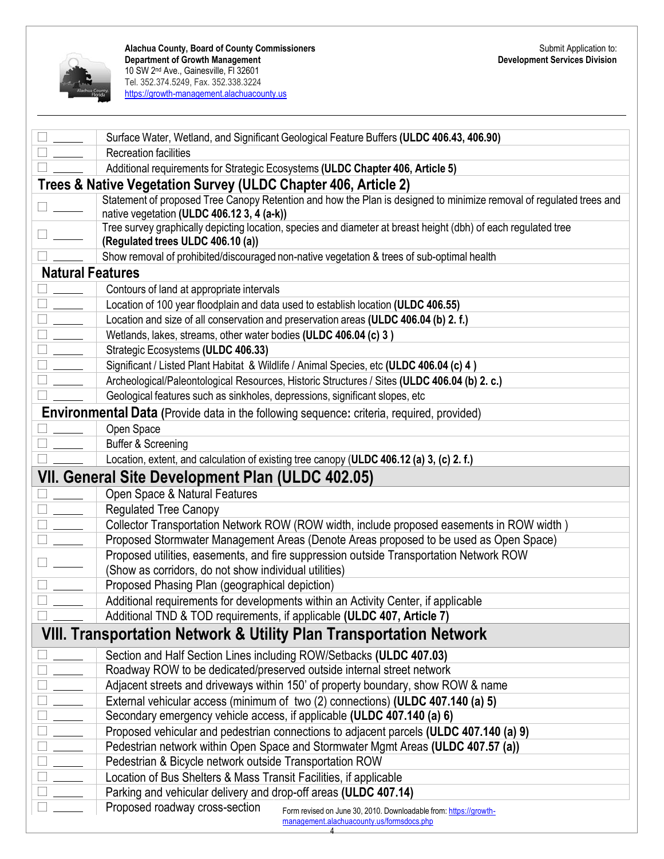

|                                                                                                | Surface Water, Wetland, and Significant Geological Feature Buffers (ULDC 406.43, 406.90)<br><b>Recreation facilities</b>                            |  |  |
|------------------------------------------------------------------------------------------------|-----------------------------------------------------------------------------------------------------------------------------------------------------|--|--|
|                                                                                                | Additional requirements for Strategic Ecosystems (ULDC Chapter 406, Article 5)                                                                      |  |  |
| Trees & Native Vegetation Survey (ULDC Chapter 406, Article 2)                                 |                                                                                                                                                     |  |  |
|                                                                                                | Statement of proposed Tree Canopy Retention and how the Plan is designed to minimize removal of regulated trees and                                 |  |  |
|                                                                                                | native vegetation (ULDC 406.12 3, 4 (a-k))                                                                                                          |  |  |
|                                                                                                | Tree survey graphically depicting location, species and diameter at breast height (dbh) of each regulated tree<br>(Regulated trees ULDC 406.10 (a)) |  |  |
|                                                                                                | Show removal of prohibited/discouraged non-native vegetation & trees of sub-optimal health                                                          |  |  |
| <b>Natural Features</b>                                                                        |                                                                                                                                                     |  |  |
| $\frac{1}{\sqrt{2}}$                                                                           | Contours of land at appropriate intervals                                                                                                           |  |  |
| $\Box$ $\Box$                                                                                  | Location of 100 year floodplain and data used to establish location (ULDC 406.55)                                                                   |  |  |
| $\square$                                                                                      | Location and size of all conservation and preservation areas (ULDC 406.04 (b) 2. f.)                                                                |  |  |
| $\square$ , and the $\square$                                                                  | Wetlands, lakes, streams, other water bodies (ULDC 406.04 (c) 3)                                                                                    |  |  |
| $\overline{\phantom{a}}$                                                                       | Strategic Ecosystems (ULDC 406.33)                                                                                                                  |  |  |
| $\frac{1}{\sqrt{2\pi}}\left( \frac{1}{\sqrt{2\pi}}\right) ^{2}$                                | Significant / Listed Plant Habitat & Wildlife / Animal Species, etc (ULDC 406.04 (c) 4)                                                             |  |  |
|                                                                                                | Archeological/Paleontological Resources, Historic Structures / Sites (ULDC 406.04 (b) 2. c.)                                                        |  |  |
|                                                                                                | Geological features such as sinkholes, depressions, significant slopes, etc                                                                         |  |  |
|                                                                                                | <b>Environmental Data</b> (Provide data in the following sequence: criteria, required, provided)                                                    |  |  |
| $\Box$                                                                                         | Open Space                                                                                                                                          |  |  |
|                                                                                                | <b>Buffer &amp; Screening</b>                                                                                                                       |  |  |
|                                                                                                | Location, extent, and calculation of existing tree canopy (ULDC 406.12 (a) 3, (c) 2. f.)                                                            |  |  |
|                                                                                                | VII. General Site Development Plan (ULDC 402.05)                                                                                                    |  |  |
| $\mathcal{L}^{\text{max}}$                                                                     | Open Space & Natural Features                                                                                                                       |  |  |
|                                                                                                | <b>Regulated Tree Canopy</b>                                                                                                                        |  |  |
| $\square$                                                                                      | Collector Transportation Network ROW (ROW width, include proposed easements in ROW width)                                                           |  |  |
| $\square$                                                                                      | Proposed Stormwater Management Areas (Denote Areas proposed to be used as Open Space)                                                               |  |  |
|                                                                                                | Proposed utilities, easements, and fire suppression outside Transportation Network ROW                                                              |  |  |
| $\Box$                                                                                         | (Show as corridors, do not show individual utilities)                                                                                               |  |  |
| $\frac{1}{2}$ . The set of $\frac{1}{2}$                                                       | Proposed Phasing Plan (geographical depiction)                                                                                                      |  |  |
|                                                                                                | Additional requirements for developments within an Activity Center, if applicable                                                                   |  |  |
|                                                                                                | Additional TND & TOD requirements, if applicable (ULDC 407, Article 7)                                                                              |  |  |
| VIII. Transportation Network & Utility Plan Transportation Network                             |                                                                                                                                                     |  |  |
|                                                                                                | Section and Half Section Lines including ROW/Setbacks (ULDC 407.03)                                                                                 |  |  |
|                                                                                                | Roadway ROW to be dedicated/preserved outside internal street network                                                                               |  |  |
|                                                                                                | Adjacent streets and driveways within 150' of property boundary, show ROW & name                                                                    |  |  |
|                                                                                                | External vehicular access (minimum of two (2) connections) (ULDC 407.140 (a) 5)                                                                     |  |  |
|                                                                                                | Secondary emergency vehicle access, if applicable (ULDC 407.140 (a) 6)                                                                              |  |  |
| $\frac{1}{\sqrt{1-\frac{1}{2}}\left(1-\frac{1}{2}\right)}\left(\frac{1}{2}-\frac{1}{2}\right)$ | Proposed vehicular and pedestrian connections to adjacent parcels (ULDC 407.140 (a) 9)                                                              |  |  |
|                                                                                                | Pedestrian network within Open Space and Stormwater Mgmt Areas (ULDC 407.57 (a))                                                                    |  |  |
|                                                                                                | Pedestrian & Bicycle network outside Transportation ROW                                                                                             |  |  |
|                                                                                                | Location of Bus Shelters & Mass Transit Facilities, if applicable                                                                                   |  |  |
|                                                                                                | Parking and vehicular delivery and drop-off areas (ULDC 407.14)                                                                                     |  |  |
|                                                                                                | Proposed roadway cross-section<br>Form revised on June 30, 2010. Downloadable from: https://growth-<br>management.alachuacounty.us/formsdocs.php    |  |  |

4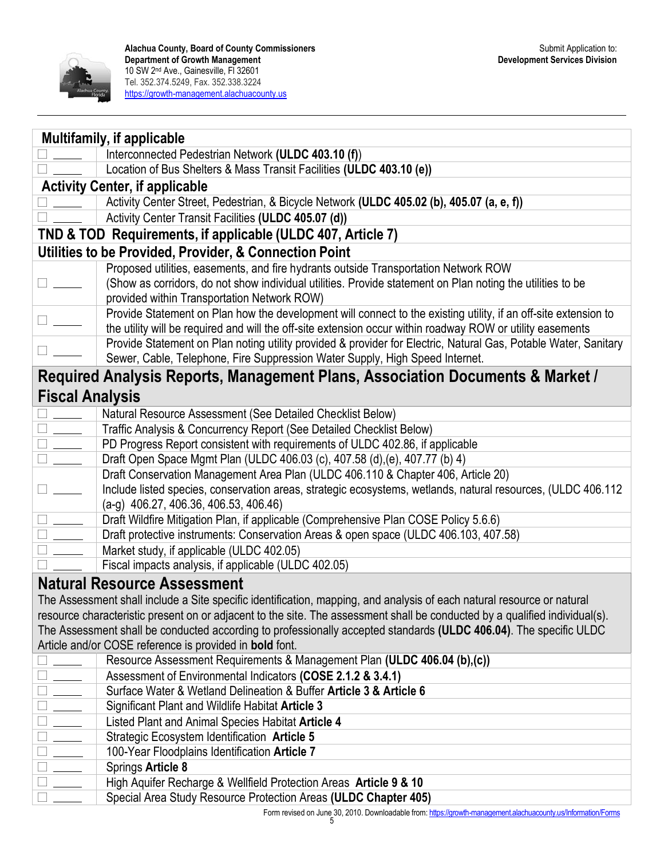

| Multifamily, if applicable                       |                                                                                                                             |  |
|--------------------------------------------------|-----------------------------------------------------------------------------------------------------------------------------|--|
|                                                  | Interconnected Pedestrian Network (ULDC 403.10 (f))                                                                         |  |
|                                                  | Location of Bus Shelters & Mass Transit Facilities (ULDC 403.10 (e))                                                        |  |
|                                                  | <b>Activity Center, if applicable</b>                                                                                       |  |
|                                                  | Activity Center Street, Pedestrian, & Bicycle Network (ULDC 405.02 (b), 405.07 (a, e, f))                                   |  |
|                                                  | Activity Center Transit Facilities (ULDC 405.07 (d))                                                                        |  |
|                                                  | TND & TOD Requirements, if applicable (ULDC 407, Article 7)                                                                 |  |
|                                                  | Utilities to be Provided, Provider, & Connection Point                                                                      |  |
|                                                  | Proposed utilities, easements, and fire hydrants outside Transportation Network ROW                                         |  |
| $\Box$ and $\Box$                                | (Show as corridors, do not show individual utilities. Provide statement on Plan noting the utilities to be                  |  |
|                                                  | provided within Transportation Network ROW)                                                                                 |  |
|                                                  | Provide Statement on Plan how the development will connect to the existing utility, if an off-site extension to             |  |
|                                                  | the utility will be required and will the off-site extension occur within roadway ROW or utility easements                  |  |
|                                                  | Provide Statement on Plan noting utility provided & provider for Electric, Natural Gas, Potable Water, Sanitary             |  |
|                                                  | Sewer, Cable, Telephone, Fire Suppression Water Supply, High Speed Internet.                                                |  |
|                                                  | Required Analysis Reports, Management Plans, Association Documents & Market /                                               |  |
| <b>Fiscal Analysis</b>                           |                                                                                                                             |  |
| $\Box$                                           | Natural Resource Assessment (See Detailed Checklist Below)                                                                  |  |
| $\Box$                                           | Traffic Analysis & Concurrency Report (See Detailed Checklist Below)                                                        |  |
| $\Box \; \underline{\hspace{1cm}}$               | PD Progress Report consistent with requirements of ULDC 402.86, if applicable                                               |  |
| $\square_{\text{}}$                              | Draft Open Space Mgmt Plan (ULDC 406.03 (c), 407.58 (d), (e), 407.77 (b) 4)                                                 |  |
|                                                  | Draft Conservation Management Area Plan (ULDC 406.110 & Chapter 406, Article 20)                                            |  |
|                                                  | Include listed species, conservation areas, strategic ecosystems, wetlands, natural resources, (ULDC 406.112                |  |
|                                                  | $(a-g)$ 406.27, 406.36, 406.53, 406.46)                                                                                     |  |
|                                                  | Draft Wildfire Mitigation Plan, if applicable (Comprehensive Plan COSE Policy 5.6.6)                                        |  |
| $\Box \hspace{0.1cm} \underline{\hspace{0.1cm}}$ | Draft protective instruments: Conservation Areas & open space (ULDC 406.103, 407.58)                                        |  |
| $\overline{\phantom{a}}$                         | Market study, if applicable (ULDC 402.05)                                                                                   |  |
|                                                  | Fiscal impacts analysis, if applicable (ULDC 402.05)                                                                        |  |
|                                                  | <b>Natural Resource Assessment</b>                                                                                          |  |
|                                                  | The Assessment shall include a Site specific identification, mapping, and analysis of each natural resource or natural      |  |
|                                                  | resource characteristic present on or adjacent to the site. The assessment shall be conducted by a qualified individual(s). |  |
|                                                  | The Assessment shall be conducted according to professionally accepted standards (ULDC 406.04). The specific ULDC           |  |
|                                                  | Article and/or COSE reference is provided in <b>bold</b> font.                                                              |  |
| $\overline{\phantom{a}}$                         | Resource Assessment Requirements & Management Plan (ULDC 406.04 (b),(c))                                                    |  |
|                                                  | Assessment of Environmental Indicators (COSE 2.1.2 & 3.4.1)                                                                 |  |
| $\Box$ and $\Box$                                | Surface Water & Wetland Delineation & Buffer Article 3 & Article 6                                                          |  |
| $\Box$ , and it is the set of $\Box$             | Significant Plant and Wildlife Habitat Article 3                                                                            |  |
| $\Box$                                           | Listed Plant and Animal Species Habitat Article 4                                                                           |  |
| $\Box$ and $\Box$                                | <b>Strategic Ecosystem Identification Article 5</b>                                                                         |  |
| $\frac{1}{2}$                                    | 100-Year Floodplains Identification Article 7                                                                               |  |
| $\Box$                                           | Springs Article 8                                                                                                           |  |
| $\Box$ and $\Box$                                | High Aquifer Recharge & Wellfield Protection Areas Article 9 & 10                                                           |  |
| $\frac{1}{2}$ and $\frac{1}{2}$                  | Special Area Study Resource Protection Areas (ULDC Chapter 405)                                                             |  |
|                                                  |                                                                                                                             |  |